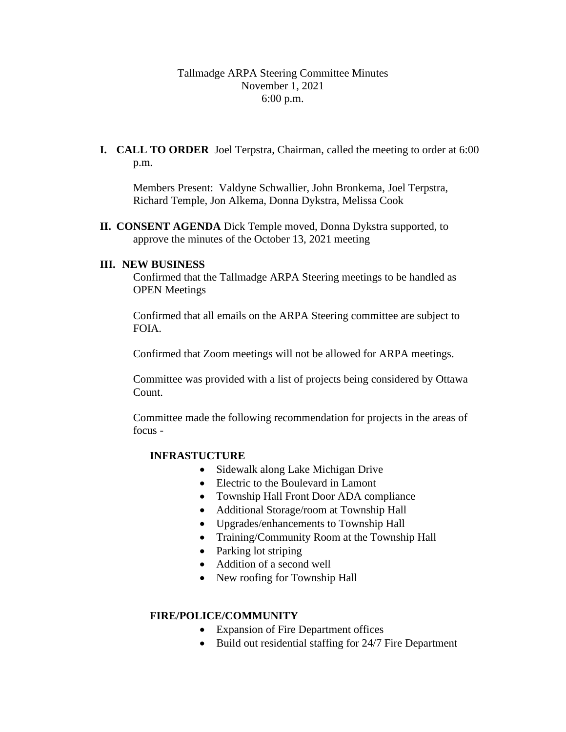# Tallmadge ARPA Steering Committee Minutes November 1, 2021 6:00 p.m.

**I. CALL TO ORDER** Joel Terpstra, Chairman, called the meeting to order at 6:00 p.m.

Members Present: Valdyne Schwallier, John Bronkema, Joel Terpstra, Richard Temple, Jon Alkema, Donna Dykstra, Melissa Cook

**II. CONSENT AGENDA** Dick Temple moved, Donna Dykstra supported, to approve the minutes of the October 13, 2021 meeting

## **III. NEW BUSINESS**

Confirmed that the Tallmadge ARPA Steering meetings to be handled as OPEN Meetings

Confirmed that all emails on the ARPA Steering committee are subject to FOIA.

Confirmed that Zoom meetings will not be allowed for ARPA meetings.

Committee was provided with a list of projects being considered by Ottawa Count.

Committee made the following recommendation for projects in the areas of focus -

## **INFRASTUCTURE**

- Sidewalk along Lake Michigan Drive
- Electric to the Boulevard in Lamont
- Township Hall Front Door ADA compliance
- Additional Storage/room at Township Hall
- Upgrades/enhancements to Township Hall
- Training/Community Room at the Township Hall
- Parking lot striping
- Addition of a second well
- New roofing for Township Hall

## **FIRE/POLICE/COMMUNITY**

- Expansion of Fire Department offices
- Build out residential staffing for 24/7 Fire Department